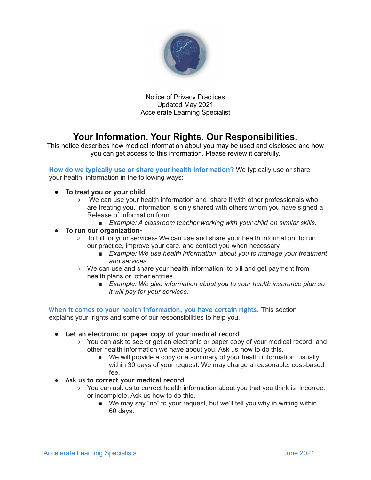

Notice of Privacy Practices Updated May 2021 Accelerate Learning Specialist

# **Your Information. Your Rights. Our Responsibilities.**

This notice describes how medical information about you may be used and disclosed and how you can get access to this information. Please review it carefully.

**How do we typically use or share your health information?** We typically use or share your health information in the following ways:

- **To treat you or your child**
	- We can use your health information and share it with other professionals who are treating you. Information is only shared with others whom you have signed a Release of Information form.
		- *Example:* A *classroom teacher working with your child on similar skills.*

### **● To run our organization-**

- To bill for your services- We can use and share your health information to run our practice, improve your care, and contact you when necessary.
	- *Example:* We use *health information* about you to manage your treatment *and services.*
- We can use and share your health information to bill and get payment from health plans or other entities.
	- *Example: We give information about you to your health insurance plan so it will pay for your services.*

**When it comes to your health information, you have certain rights.** This section explains your rights and some of our responsibilities to help you.

- **● Get an electronic or paper copy of your medical record**
	- You can ask to see or get an electronic or paper copy of your medical record and other health information we have about you. Ask us how to do this.
		- We will provide a copy or a summary of your health information, usually within 30 days of your request. We may charge a reasonable, cost-based fee.
- **● Ask us to correct your medical record**
	- You can ask us to correct health information about you that you think is incorrect or incomplete. Ask us how to do this.
		- We may say "no" to your request, but we'll tell you why in writing within 60 days.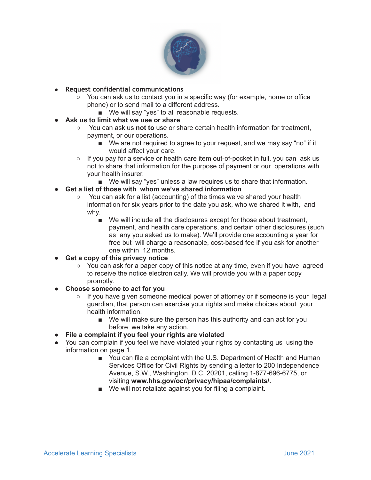

## **● Request confidential communications**

- You can ask us to contact you in a specific way (for example, home or office phone) or to send mail to a different address.
	- We will say "yes" to all reasonable requests.

## **● Ask us to limit what we use or share**

- **○** You can ask us **not to** use or share certain health information for treatment, payment, or our operations.
	- We are not required to agree to your request, and we may say "no" if it would affect your care.
- If you pay for a service or health care item out-of-pocket in full, you can ask us not to share that information for the purpose of payment or our operations with your health insurer.
	- We will say "yes" unless a law requires us to share that information.
- **● Get a list of those with whom we've shared information**
	- You can ask for a list (accounting) of the times we've shared your health information for six years prior to the date you ask, who we shared it with, and why.
		- We will include all the disclosures except for those about treatment, payment, and health care operations, and certain other disclosures (such as any you asked us to make). We'll provide one accounting a year for free but will charge a reasonable, cost-based fee if you ask for another one within 12 months.
- **● Get a copy of this privacy notice**
	- **○** You can ask for a paper copy of this notice at any time, even if you have agreed to receive the notice electronically. We will provide you with a paper copy promptly.
- **● Choose someone to act for you**
	- **○** If you have given someone medical power of attorney or if someone is your legal guardian, that person can exercise your rights and make choices about your health information.
		- We will make sure the person has this authority and can act for you before we take any action.
- **● File a complaint if you feel your rights are violated**
- You can complain if you feel we have violated your rights by contacting us using the information on page 1.
	- You can file a complaint with the U.S. Department of Health and Human Services Office for Civil Rights by sending a letter to 200 Independence Avenue, S.W., Washington, D.C. 20201, calling 1-877-696-6775, or visiting **www.hhs.gov/ocr/privacy/hipaa/complaints/.**
	- We will not retaliate against you for filing a complaint.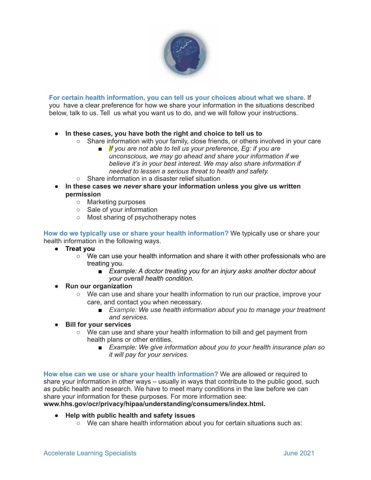

**For certain health information, you can tell us your choices about what we share.** If you have a clear preference for how we share your information in the situations described below, talk to us. Tell us what you want us to do, and we will follow your instructions.

- **● In these cases, you have both the right and choice to tell us to**
	- Share information with your family, close friends, or others involved in your care
		- *■ If you are not able to tell us your preference, Eg: if you are unconscious, we may go ahead and share your information if we believe it's in your best interest. We may also share information if needed to lessen a serious threat to health and safety.*
	- *○* Share information in a disaster relief situation
- **● In these cases we** *never* **share your information unless you give us written permission**
	- Marketing purposes
	- Sale of your information
	- Most sharing of psychotherapy notes

**How do we typically use or share your health information?** We typically use or share your health information in the following ways.

- **● Treat you**
	- We can use your health information and share it with other professionals who are treating you.
		- *■ Example: A doctor treating you for an injury asks another doctor about your overall health condition.*
- **● Run our organization**
	- **○** We can use and share your health information to run our practice, improve your care, and contact you when necessary.
		- *■ Example: We use health information about you to manage your treatment and services.*
- **● Bill for your services**
	- We can use and share your health information to bill and get payment from health plans or other entities.
		- *■ Example: We give information about you to your health insurance plan so it will pay for your services.*

**How else can we use or share your health information?** We are allowed or required to share your information in other ways – usually in ways that contribute to the public good, such as public health and research. We have to meet many conditions in the law before we can share your information for these purposes. For more information see: **[www.hhs.gov/ocr/privacy/hipaa/understanding/consumers/index.html](http://www.hhs.gov/ocr/privacy/hipaa/understanding/consumers/index.html).**

- **● Help with public health and safety issues**
	- **○** We can share health information about you for certain situations such as: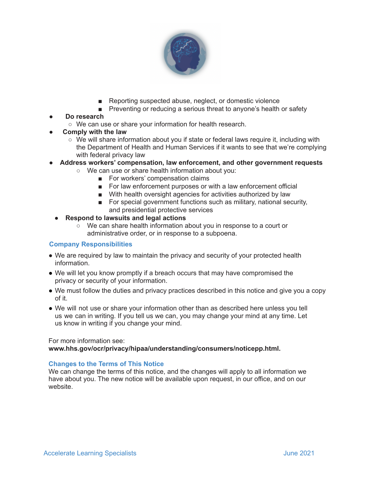

- Reporting suspected abuse, neglect, or domestic violence
- Preventing or reducing a serious threat to anyone's health or safety
- **● Do research**
	- **○** We can use or share your information for health research.
- **● Comply with the law**
	- **○** We will share information about you if state or federal laws require it, including with the Department of Health and Human Services if it wants to see that we're complying with federal privacy law
- **● Address workers' compensation, law enforcement, and other government requests**
	- **○** We can use or share health information about you:
		- For workers' compensation claims
		- For law enforcement purposes or with a law enforcement official
		- With health oversight agencies for activities authorized by law
		- For special government functions such as military, national security, and presidential protective services
	- **● Respond to lawsuits and legal actions**
		- **○** We can share health information about you in response to a court or administrative order, or in response to a subpoena.

## **Company Responsibilities**

- We are required by law to maintain the privacy and security of your protected health information.
- We will let you know promptly if a breach occurs that may have compromised the privacy or security of your information.
- We must follow the duties and privacy practices described in this notice and give you a copy of it.
- We will not use or share your information other than as described here unless you tell us we can in writing. If you tell us we can, you may change your mind at any time. Let us know in writing if you change your mind.

### For more information see:

**[www.hhs.gov/ocr/privacy/hipaa/understanding/consumers/noticepp.htm](http://www.hhs.gov/ocr/privacy/hipaa/understanding/consumers/noticepp.html)l.**

### **Changes to the Terms of This Notice**

We can change the terms of this notice, and the changes will apply to all information we have about you. The new notice will be available upon request, in our office, and on our website.